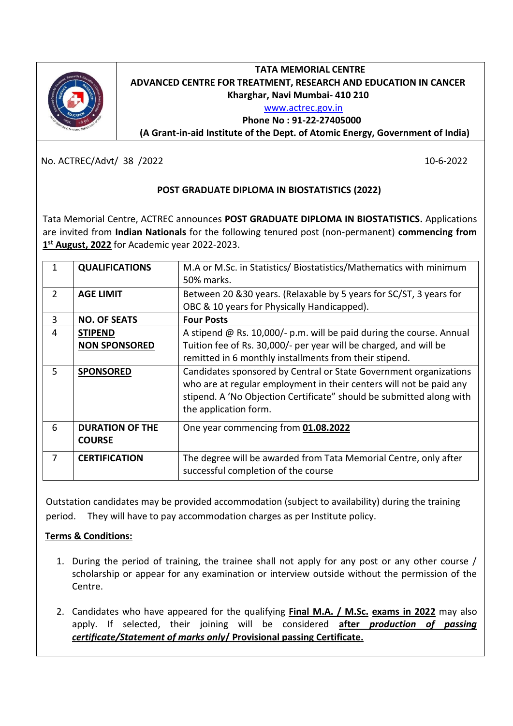

# **TATA MEMORIAL CENTRE ADVANCED CENTRE FOR TREATMENT, RESEARCH AND EDUCATION IN CANCER Kharghar, Navi Mumbai- 410 210**

#### [www.actrec.gov.in](http://www.actrec.gov.in/)

#### **Phone No : 91-22-27405000**

**( (A Grant-in-aid Institute of the Dept. of Atomic Energy, Government of India)**

No. ACTREC/Advt/ 38 /2022 10-6-2022

## **POST GRADUATE DIPLOMA IN BIOSTATISTICS (2022)**

Tata Memorial Centre, ACTREC announces **POST GRADUATE DIPLOMA IN BIOSTATISTICS.** Applications are invited from **Indian Nationals** for the following tenured post (non-permanent) **commencing from 1 st August, 2022** for Academic year 2022-2023.

| $\overline{2}$ | <b>QUALIFICATIONS</b><br><b>AGE LIMIT</b> | M.A or M.Sc. in Statistics/Biostatistics/Mathematics with minimum<br>50% marks.<br>Between 20 & 30 years. (Relaxable by 5 years for SC/ST, 3 years for<br>OBC & 10 years for Physically Handicapped).                                     |
|----------------|-------------------------------------------|-------------------------------------------------------------------------------------------------------------------------------------------------------------------------------------------------------------------------------------------|
| 3              | <b>NO. OF SEATS</b>                       | <b>Four Posts</b>                                                                                                                                                                                                                         |
| 4              | <b>STIPEND</b><br><b>NON SPONSORED</b>    | A stipend $@$ Rs. 10,000/- p.m. will be paid during the course. Annual<br>Tuition fee of Rs. 30,000/- per year will be charged, and will be<br>remitted in 6 monthly installments from their stipend.                                     |
| 5              | <b>SPONSORED</b>                          | Candidates sponsored by Central or State Government organizations<br>who are at regular employment in their centers will not be paid any<br>stipend. A 'No Objection Certificate" should be submitted along with<br>the application form. |
| 6              | <b>DURATION OF THE</b><br><b>COURSE</b>   | One year commencing from 01.08.2022                                                                                                                                                                                                       |
| 7              | <b>CERTIFICATION</b>                      | The degree will be awarded from Tata Memorial Centre, only after<br>successful completion of the course                                                                                                                                   |

Outstation candidates may be provided accommodation (subject to availability) during the training period. They will have to pay accommodation charges as per Institute policy.

# **Terms & Conditions:**

- 1. During the period of training, the trainee shall not apply for any post or any other course / scholarship or appear for any examination or interview outside without the permission of the Centre.
- 2. Candidates who have appeared for the qualifying **Final M.A. / M.Sc. exams in 2022** may also apply. If selected, their joining will be considered **after** *production of passing certificate/Statement of marks only***/ Provisional passing Certificate.**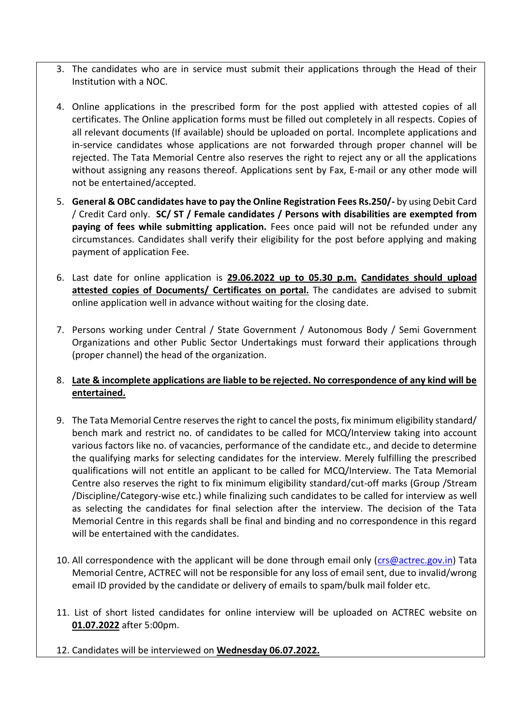- 3. The candidates who are in service must submit their applications through the Head of their Institution with a NOC.
- 4. Online applications in the prescribed form for the post applied with attested copies of all certificates. The Online application forms must be filled out completely in all respects. Copies of all relevant documents (If available) should be uploaded on portal. Incomplete applications and in-service candidates whose applications are not forwarded through proper channel will be rejected. The Tata Memorial Centre also reserves the right to reject any or all the applications without assigning any reasons thereof. Applications sent by Fax, E-mail or any other mode will not be entertained/accepted.
- 5. **General & OBC candidates have to pay the Online Registration Fees Rs.250/-** by using Debit Card / Credit Card only. **SC/ ST / Female candidates / Persons with disabilities are exempted from paying of fees while submitting application.** Fees once paid will not be refunded under any circumstances. Candidates shall verify their eligibility for the post before applying and making payment of application Fee.
- 6. Last date for online application is **29.06.2022 up to 05.30 p.m. Candidates should upload attested copies of Documents/ Certificates on portal.** The candidates are advised to submit online application well in advance without waiting for the closing date.
- 7. Persons working under Central / State Government / Autonomous Body / Semi Government Organizations and other Public Sector Undertakings must forward their applications through (proper channel) the head of the organization.

## 8. **Late & incomplete applications are liable to be rejected. No correspondence of any kind will be entertained.**

- 9. The Tata Memorial Centre reserves the right to cancel the posts, fix minimum eligibility standard/ bench mark and restrict no. of candidates to be called for MCQ/Interview taking into account various factors like no. of vacancies, performance of the candidate etc., and decide to determine the qualifying marks for selecting candidates for the interview. Merely fulfilling the prescribed qualifications will not entitle an applicant to be called for MCQ/Interview. The Tata Memorial Centre also reserves the right to fix minimum eligibility standard/cut-off marks (Group /Stream /Discipline/Category-wise etc.) while finalizing such candidates to be called for interview as well as selecting the candidates for final selection after the interview. The decision of the Tata Memorial Centre in this regards shall be final and binding and no correspondence in this regard will be entertained with the candidates.
- 10. All correspondence with the applicant will be done through email only [\(crs@actrec.gov.in\)](mailto:crs@actrec.gov.in) Tata Memorial Centre, ACTREC will not be responsible for any loss of email sent, due to invalid/wrong email ID provided by the candidate or delivery of emails to spam/bulk mail folder etc.
- 11. List of short listed candidates for online interview will be uploaded on ACTREC website on **01.07.2022** after 5:00pm.
- 12. Candidates will be interviewed on **Wednesday 06.07.2022.**